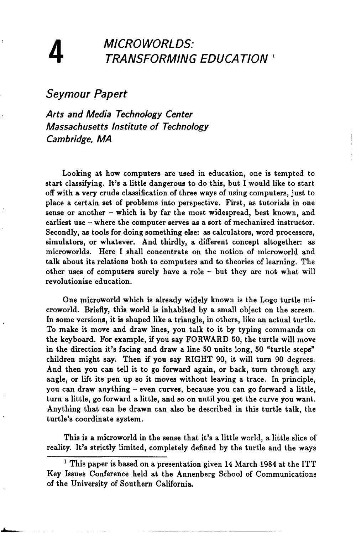# **4** MICROWORLDS:<br>TRANSFORMING EDUCATION 1

## *Seymour Papert*

*Arts and Media Technology Center Massachusetts Institute of Technology Cambridge. MA* 

Looking at how computers are used in education, one is tempted to start classifying. It's a little dangerous to do this, but I would like to start off with a very crude classification of three ways of using computers, just to place a certain set of problems into perspective. First, as tutorials in one sense or another - which is by far the most widespread, best known, and earliest use - where the computer serves as a sort of mechanized instructor. Secondly, as tools for doing something else: as calculators, word processors, simulators, or whatever. And thirdly, a different concept altogether: as microworlds. Here I shall concentrate on the notion of microworld and talk about its relations both to computers and to theories of learning. The other uses of computers surely have a role - but they are not what will revolutionize education.

One microworld which is already widely known is the Logo turtle microworld. Briefly, this world is inhabited by a small object on the screen. In some versions, it is shaped like a triangle, in others, like an actual turtle. To make it move and draw lines, you talk to it by typing commands on the keyboard. For example, if you say FORWARD 50, the turtle will move in the direction it's facing and draw a line 50 units long, 50 "turtle steps" children might say. Then if you say RIGHT 90, it will turn 90 degrees. And then you can tell it to go forward again, or back, turn through any angle, or lift its pen up so it moves without leaving a trace. In principle, you can draw anything - even curves, because you can go forward a little, turn a little, go forward a little, and so on until you get the curve you want. Anything that can be drawn can also be described in this turtle talk, the turtle's coordinate system.

This is a microworld in the sense that it's a little world, a little slice of reality. It's strictly limited, completely defined by the turtle and the ways

 $1$  This paper is based on a presentation given 14 March 1984 at the ITT Key Issues Conference held at the Annenberg School of Communications of the University of Southern California.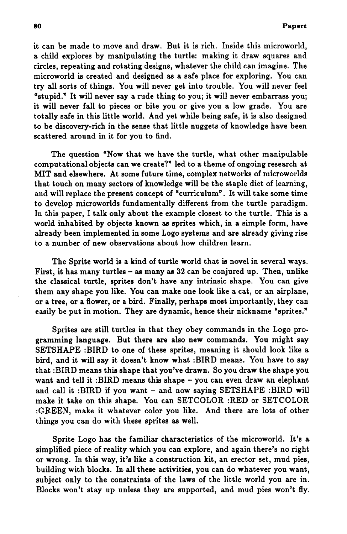it can be made to move and draw. But it is rich. Inside this microworld, a child explores by manipulating the turtle: making it draw squares and circles, repeating and rotating designs, whatever the child can imagine. The microworld is created and designed as a safe place for exploring. You can try all sorts of things. You will never get into trouble. You will never feel "stupid." It will never say a rude thing to you; it will never embarrass you; it will never fall to pieces or bite you or give you a low grade. You are totally safe in this little world. And yet while being safe, it is also designed to be discovery-rich in the sense that little nuggets of knowledge have been scattered around in it for you to find.

The question "Now that we have the turtle, what other manipulable computational objects can we create?" led to a theme of ongoing research at MIT and elsewhere. At some future time, complex networks of microworlds that touch on many sectors of knowledge will be the staple diet of learning, and will replace the present concept of "curriculum". It will take some time to develop microworlds fundamentally different from the turtle paradigm. In this paper, I talk only about the example closest to the turtle. This is a world inhabited by objects known as sprites which, in a simple form, have already been implemented in some Logo systems and are already giving rise to a number of new observations about how children learn.

The Sprite world is a kind of turtle world that is novel in several ways. First, it has many turtles - as many as 32 can be conjured up. Then, unlike the classical turtle, sprites don't have any intrinsic shape. You can give them any shape you like. You can make one look like a cat, or an airplane, or a tree, or a flower, or a bird. Finally, perhaps most importantly, they can easily be put in motion. They are dynamic, hence their nickname "sprites."

Sprites are still turtles in that they obey commands in the Logo programming language. But there are also new commands. You might say SETSHAPE :BIRD to one of these sprites, meaning it should look like a bird, and it will say it doesn't know what :BIRD means. You have to say that :BIRD means this shape that you've drawn. So you draw the shape you want and tell it :BIRD means this shape - you can even draw an elephant and call it :BIRD if you want - and now saying SETSHAPE :BIRD will make it take on this shape. You can SETCOLOR :RED or SETCOLOR :GREEN, make it whatever color you like. And there are lots of other things you can do with these sprites as well.

Sprite Logo has the familiar characteristics of the microworld. It's a simplified piece of reality which you can explore, and again there's no right or wrong. In this way, it's like a construction kit, an erector set, mud pies, building with blocks. In all these activities, you can do whatever you want, subject only to the constraints of the laws of the little world you are in. Blocks won't stay up unless they are supported, and mud pies won't fly.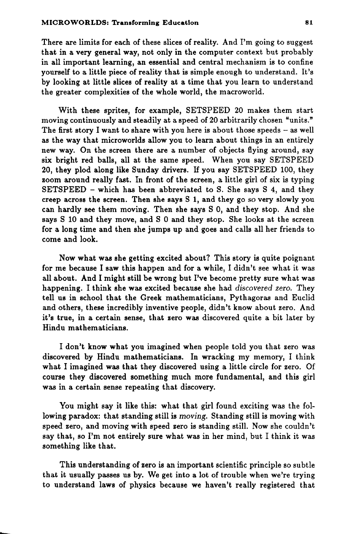### MICRO WORLDS: Transforming Education 81

There are limits for each of these slices of reality. And I'm going to suggest that in a very general way, not only in the computer context but probably in all important learning, an essential and central mechanism is to confine yourself to a little piece of reality that is simple enough to understand. It's by looking at little slices of reality at a time that you learn to understand the greater complexities of the whole world, the macroworld.

With these sprites, for example, SETSPEED 20 makes them start moving continuously and steadily at a speed of 20 arbitrarily chosen "units." The first story I want to share with you here is about those speeds  $-$  as well as the way that microworlds allow you to learn about things in an entirely new way. On the screen there are a number of objects flying around, say six bright red balls, all at the same speed. When you say SETSPEED 20, they plod along like Sunday drivers. If you say SETSPEED 100, they zoom around really fast. In front of the screen, a little girl of six is typing SETSPEED - which has been abbreviated to S. She says S 4, and they creep across the screen. Then she says S 1, and they go so very slowly you can hardly see them moving. Then she says S 0, and they stop. And she says S 10 and they move, and S 0 and they stop. She looks at the screen for a long time and then she jumps up and goes and calls all her friends to come and look.

Now what was she getting excited about? This story is quite poignant for me because I saw this happen and for a while, I didn't see what it was all about. And I might still be wrong but I've become pretty sure what was happening. I think she was excited because she had *discovered zero.* They tell us in school that the Greek mathematicians, Pythagoras and Euclid and others, these incredibly inventive people, didn't know about zero. And it's true, in a certain sense, that zero was discovered quite a bit later by Hindu mathematicians.

I don't know what you imagined when people told you that zero was discovered by Hindu mathematicians. In wracking my memory, I think what I imagined was that they discovered using a little circle for zero. Of course they discovered something much more fundamental, and this girl was in a certain sense repeating that discovery.

You might say it like this: what that girl found exciting was the following paradox: that standing still is *moving.* Standing still is moving with speed zero, and moving with speed zero is standing still. Now she couldn't say that, so I'm not entirely sure what was in her mind, but I think it was something like that.

This understanding of zero is an important scientific principle so subtle that it usually passes us by. We get into a lot of trouble when we're trying to understand laws of physics because we haven't really registered that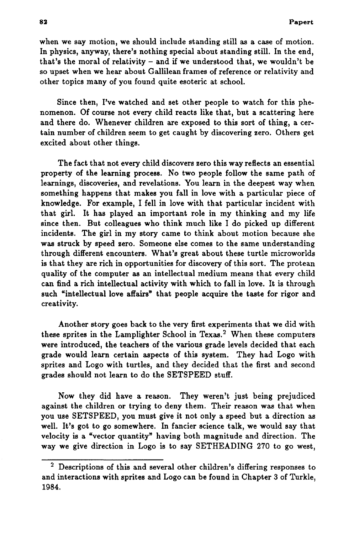when we say motion, we should include standing still as a case of motion. In physics, anyway, there's nothing special about standing still. In the end, that's the moral of relativity - and if we understood that, we wouldn't be so upset when we hear about Gallilean frames of reference or relativity and other topics many of you found quite esoteric at school.

Since then, I've watched and set other people to watch for this phenomenon. Of course not every child reacts like that, but a scattering here and there do. Whenever children are exposed to this sort of thing, a certain number of children seem to get caught by discovering zero. Others get excited about other things.

The fact that not every child discovers zero this way reflects an essential property of the learning process. No two people follow the same path of learnings, discoveries, and revelations. You learn in the deepest way when something happens that makes you fall in love with a particular piece of knowledge. For example, I fell in love with that particular incident with that girl. It has played an important role in my thinking and my life since then. But colleagues who think much like I do picked up different incidents. The girl in my story came to think about motion because she was struck by speed zero. Someone else comes to the same understanding through different encounters. What's great about these turtle microworlds is that they are rich in opportunities for discovery of this sort. The protean quality of the computer as an intellectual medium means that every child can find a rich intellectual activity with which to fall in love. It is through such "intellectual love affairs" that people acquire the taste for rigor and creativity.

Another story goes back to the very first experiments that we did with these sprites in the Lamplighter School in Texas.<sup>2</sup> When these computers were introduced, the teachers of the various grade levels decided that each grade would learn certain aspects of this system. They had Logo with sprites and Logo with turtles, and they decided that the first and second grades should not learn to do the SETSPEED stuff.

Now they did have a reason. They weren't just being prejudiced against the children or trying to deny them. Their reason was that when you use SETSPEED, you must give it not only a speed but a direction as well. It's got to go somewhere. In fancier science talk, we would say that velocity is a "vector quantity" having both magnitude and direction. The way we give direction in Logo is to say SETHEADING 270 to go west,

<sup>&</sup>lt;sup>2</sup> Descriptions of this and several other children's differing responses to and interactions with sprites and Logo can be found in Chapter 3 of Turkle, 1984.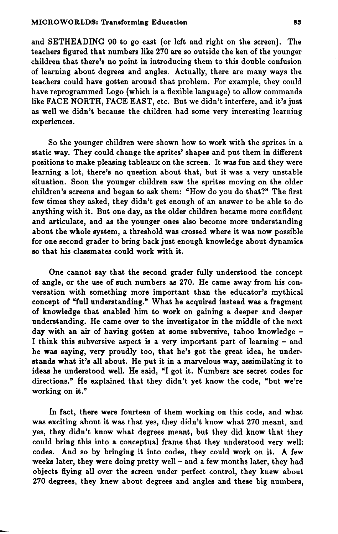and SETHEADING 90 to go east (or left and right on the screen). The teachers figured that numbers like 270 are so outside the ken of the younger children that there's no point in introducing them to this double confusion of learning about degrees and angles. Actually, there are many ways the teachers could have gotten around that problem. For example, they could have reprogrammed Logo (which is a flexible language) to allow commands like FACE NORTH, FACE EAST, etc. But we didn't interfere, and it's just as well we didn't because the children had some very interesting learning experiences.

So the younger children were shown how to work with the sprites in a static way. They could change the sprites' shapes and put them in different positions to make pleasing tableaux on the screen. It was fun and they were learning a lot, there's no question about that, but it was a very unstable situation. Soon the younger children saw the sprites moving on the older children's screens and began to ask them: "How do you do that?" The first few times they asked, they didn't get enough of an answer to be able to do anything with it. But one day, as the older children became more confident and articulate, and as the younger ones also become more understanding about the whole system, a threshold was crossed where it was now possible for one second grader to bring back just enough knowledge about dynamics so that his classmates could work with it.

One cannot say that the second grader fully understood the concept of angle, or the use of such numbers as 270. He came away from his conversation with something more important than the educator's mythical concept of "full understanding." What he acquired instead was a fragment of knowledge that enabled him to work on gaining a deeper and deeper understanding. He came over to the investigator in the middle of the next day with an air of having gotten at some subversive, taboo knowledge -I think this subversive aspect is a very important part of learning - and he was saying, very proudly too, that he's got the great idea, he understands what it's all about. He put it in a marvelous way, assimilating it to ideas he understood well. He said, "I got it. Numbers are secret codes for directions." He explained that they didn't yet know the code, "but we're working on it."

In fact, there were fourteen of them working on this code, and what was exciting about it was that yes, they didn't know what 270 meant, and yes, they didn't know what degrees meant, but they did know that they could bring this into a conceptual frame that they understood very well: codes. And so by bringing it into codes, they could work on it. A few weeks later, they were doing pretty well- and a few months later, they had objects flying all over the screen under perfect control, they knew about 270 degrees, they knew about degrees and angles and these big numbers,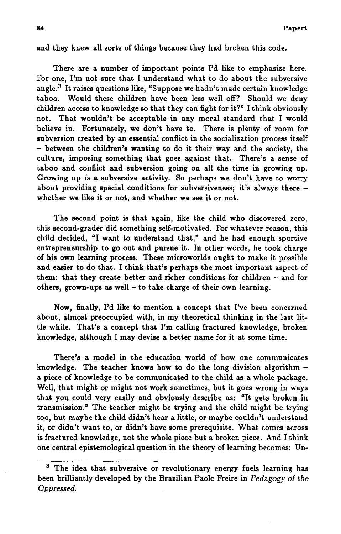and they knew all sorts of things because they had broken this code.

There are a number of important points I'd like to emphasize here. For one, I'm not sure that I understand what to do about the subversive angle.3 It raises questions like, "Suppose we hadn't made certain knowledge taboo. Would these children have been less well off? Should we deny children access to knowledge so that they can fight for it?" I think obviously not. That wouldn't be acceptable in any moral standard that I would believe in. Fortunately, we don't have to. There is plenty of room for subversion created by an essential conflict in the socialization process itself - between the children's wanting to do it their way and the society, the culture, imposing something that goes against that. There's a sense of taboo and conflict and subversion going on all the time in growing up. Growing up *is* a subversive activity. So perhaps we don't have to worry about providing special conditions for subversiveness; it's always there  $$ whether we like it or not, and whether we see it or not.

The second point is that again, like the child who discovered zero, this second-grader did something self-motivated. For whatever reason, this child decided, "I want to understand that," and he had enough sportive entrepreneurship to go out and pursue it. In other words, he took charge of his own learning process. These microworlds ought to make it possible and easier to do that. I think that's perhaps the most important aspect of them: that they create better and richer conditions for children - and for others, grown-ups as well - to take charge of their own learning.

Now, finally, I'd like to mention a concept that I've been concerned about, almost preoccupied with, in my theoretical thinking in the last little while. That's a concept that I'm calling fractured knowledge, broken knowledge, although I may devise a better name for it at some time.

There's a model in the education world of how one communicates knowledge. The teacher knows how to do the long division algorithm  $$ a piece of knowledge to be communicated to the child as a whole package. Well, that might or might not work sometimes, but it goes wrong in ways that you could very easily and obviously describe as: "It gets broken in transmission." The teacher might be trying and the child might be trying too, but maybe the child didn't hear a little, or maybe couldn't understand it, or didn't want to, or didn't have some prerequisite. What comes across is fractured knowledge, not the whole piece but a broken piece. And I think one central epistemological question in the theory of learning becomes: Un-

 $3$  The idea that subversive or revolutionary energy fuels learning has been brilliantly developed by the Brazilian Paolo Freire in *Pedagogy* of *the Oppressed.*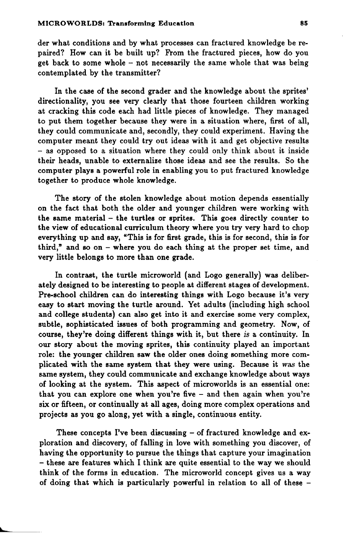der what conditions and by what processes can fractured knowledge be repaired? How can it be built up? From the fractured pieces, how do you get back to some whole - not necessarily the same whole that was being contemplated by the transmitter?

In the case of the second grader and the knowledge about the sprites' directionality, you see very clearly that those fourteen children working at cracking this code each had little pieces of knowledge. They managed to put them together because they were in a situation where, first of all, they could communicate and, secondly, they could experiment. Having the computer meant they could try out ideas with it and get objective results - as opposed to a situation where they could only think about it inside their heads, unable to externalize those ideas and see the results. So the computer plays a powerful role in enabling you to put fractured knowledge together to produce whole knowledge.

The story of the stolen knowledge about motion depends essentially on the fact that both the older and younger children were working with the same material - the turtles or sprites. This goes directly counter to the view of educational curriculum theory where you try very hard to chop everything up and say, "This is for first grade, this is for second, this is for third," and so on  $-$  where you do each thing at the proper set time, and very little belongs to more than one grade.

In contrast, the turtle microworld (and Logo generally) was deliberately designed to be interesting to people at different stages of development. Pre-school children can do interesting things with Logo because it's very easy to start moving the turtle around. Yet adults (including high school and college students) can also get into it and exercise some very complex, subtle, sophisticated issues of both programming and geometry. Now, of course, they're doing different things with it, but there *is* a continuity. In our story about the moving sprites, this continuity played an important role: the younger children saw the older ones doing something more complicated with the same system that they were using. Because it *was* the same system, they could communicate and exchange knowledge about ways of looking at the system. This aspect of microworlds is an essential one: that you can explore one when you're five - and then again when you're six or fifteen, or continually at all ages, doing more complex operations and projects as you go along, yet with a single, continuous entity.

These concepts I've been discussing - of fractured knowledge and exploration and discovery, of falling in love with something you discover, of having the opportunity to pursue the things that capture your imagination - these are features which I think are quite essential to the way we should think of the forms in education. The microworld concept gives us a way of doing that which is particularly powerful in relation to all of these -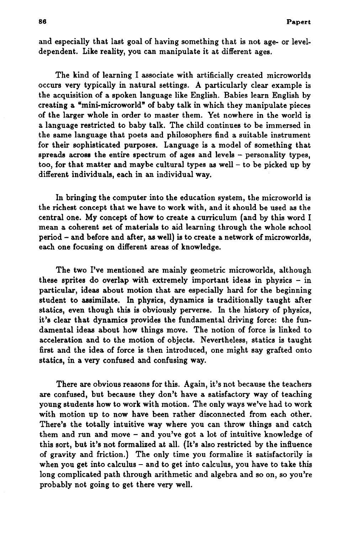and especially that last goal of having something that is not age- or leveldependent. Like reality, you can manipulate it at different ages.

The kind of learning I associate with artificially created microworlds occurs very typically in natural settings. A particularly clear example is the acquisition of a spoken language like English. Babies learn English by creating a "mini-microworld" of baby talk in which they manipulate pieces of the larger whole in order to master them. Yet nowhere in the world is a language restricted to baby talk. The child continues to be immersed in the same language that poets and philosophers find a suitable instrument for their sophisticated purposes. Language is a model of something that spreads across the entire spectrum of ages and levels - personality types, too, for that matter and maybe cultural types as well - to be picked up by different individuals, each in an individual way.

In bringing the computer into the education system, the microworld is the richest concept that we have to work with, and it should be used as the central one. My concept of how to create a curriculum (and by this word I mean a coherent set of materials to aid learning through the whole school period - and before and after, as well) is to create a network of microworlds, each one focusing on different areas of knowledge.

The two I've mentioned are mainly geometric microworlds, although these sprites do overlap with extremely important ideas in physics - in particular, ideas about motion that are especially hard for the beginning student to assimilate. In physics, dynamics is traditionally taught after statics, even though this is obviously perverse. In the history of physics, it's clear that dynamics provides the fundamental driving force: the fundamental ideas about how things move. The notion of force is linked to acceleration and to the motion of objects. Nevertheless, statics is taught first and the idea of force is then introduced, one might say grafted onto statics, in a very confused and confusing way.

There are obvious reasons for this. Again, it's not because the teachers are confused, but because they don't have a satisfactory way of teaching young students how to work with motion. The only ways we've had to work with motion up to now have been rather disconnected from each other. There's the totally intuitive way where you can throw things and catch them and run and move - and you've got a lot of intuitive knowledge of this sort, but it's not formalized at all. (It's also restricted by the influence of gravity and friction.) The only time you formalize it satisfactorily is when you get into calculus - and to get into calculus, you have to take this long complicated path through arithmetic and algebra and so on, so you're probably not going to get there very well.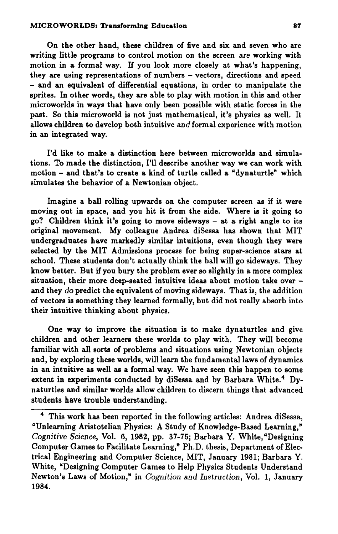#### MICROWORLDS: Transforming Education 67'

On the other hand, these children of five and six and seven who are writing little programs to control motion on the screen are working with motion in a formal way. If you look more closely at what's happening, they are using representations of numbers - vectors, directions and speed - and an equivalent of differential equations, in order to manipulate the sprites. In other words, they are able to play with motion in this and other microworlds in ways that have only been possible with static forces in the past. So this microworld is not just mathematical, it's physics as well. It allows children to develop both intuitive *and* formal experience with motion in an integrated way.

I'd like to make a distinction here between microworlds and simulations. To made the distinction, I'll describe another way we can work with motion - and that's to create a kind of turtle called a "dynaturtle" which simulates the behavior of a Newtonian object.

Imagine a ball rolling upwards on the computer screen as if it were moving out in space, and you hit it from the side. Where is it going to go? Children think it's going to move sideways - at a right angle to its original movement. My colleague Andrea diSessa has shown that MIT undergraduates have markedly similar intuitions, even though they were selected by the MIT Admissions process for being super-science stars at school. These students don't actually think the ball will go sideways. They know better. But if you bury the problem ever so slightly in a more complex situation, their more deep-seated intuitive ideas about motion take over and they do predict the equivalent of moving sideways. That is, the addition of vectors is something they learned formally, but did not really absorb into their intuitive thinking about physics.

One way to improve the situation is to make dynaturtles and give children and other learners these worlds to play with. They will become familiar with all sorts of problems and situations using Newtonian objects and, by exploring these worlds, will learn the fundamental laws of dynamics in an intuitive as well as a formal way. We have seen this happen to some extent in experiments conducted by diSessa and by Barbara White.<sup>4</sup> Dynaturtles and similar worlds allow children to discern things that advanced students have trouble understanding.

<sup>&</sup>lt;sup>4</sup> This work has been reported in the following articles: Andrea diSessa, "Unlearning Aristotelian Physics: A Study of Knowledge-Based Learning," *Cognitive Science,* Vol. 6, 1982, pp. 37-75; Barbara Y. White, "Designing Computer Games to Facilitate Learning," Ph.D. thesis, Department of Electrical Engineering and Computer Science, MIT, January 1981; Barbara Y. White, "Designing Computer Games to Help Physics Students Understand Newton's Laws of Motion," in *Cognition and Instruction,* Vol. 1, January 1984.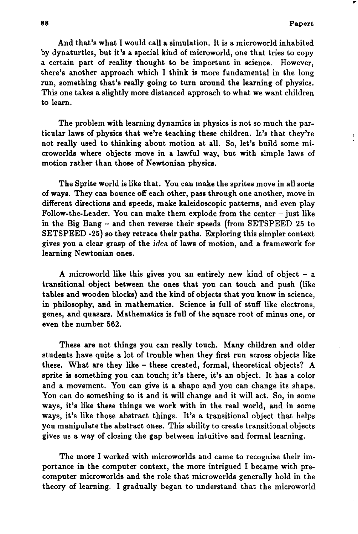...

And that's what I would call a simulation. It is a microworld inhabited by dynaturtles, but it's a special kind of microworld, one that tries to copy a certain part of reality thought to be important in science. However, there's another approach which I think is more fundamental in the long run, something that's really going to turn around the learning of physics. This one takes a slightly more distanced approach to what we want children to learn.

The problem with learning dynamics in physics is not so much the particular laws of physics that we're teaching these children. It's that they're not really used to thinking about motion at all. So, let's build some microworlds where objects move in a lawful way, but with simple laws of motion rather than those of Newtonian physics.

The Sprite world is like that. You can make the sprites move in all sorts of ways. They can bounce off each other, pass through one another, move in different directions and speeds, make kaleidoscopic patterns, and even play Follow-the-Leader. You can make them explode from the center - just like in the Big Bang - and then reverse their speeds (from SETSPEED 25 to SETSPEED -25) so they retrace their paths. Exploring this simpler context gives you a clear grasp of the *idea* of laws of motion, and a framework for learning Newtonian ones.

A microworld like this gives you an entirely new kind of object  $-$  a transitional object between the ones that you can touch and push (like tables and wooden blocks) and the kind of objects that you know in science, in philosophy, and in mathematics. Science is full of stuff like electrons, genes, and quasars. Mathematics is full of the square root of minus one, or even the number 562.

These are not things you can really touch. Many children and older students have quite a lot of trouble when they first run across objects like these. What are they like - these created, formal, theoretical objects? A sprite is something you can touch; it's there, it's an object. It has a color and a movement. You can give it a shape and you can change its shape. You can do something to it and it will change and it will act. So, in some ways, it's like these things we work with in the real world, and in some ways, it's like those abstract things. It's a transitional object that helps you manipulate the abstract ones. This ability to create transitional objects gives us a way of closing the gap between intuitive and formal learning.

The more I worked with microworlds and came to recognize their importance in the computer context, the more intrigued I became with precomputer microworlds and the role that microworlds generally hold in the theory of learning. I gradually began to understand that the microworld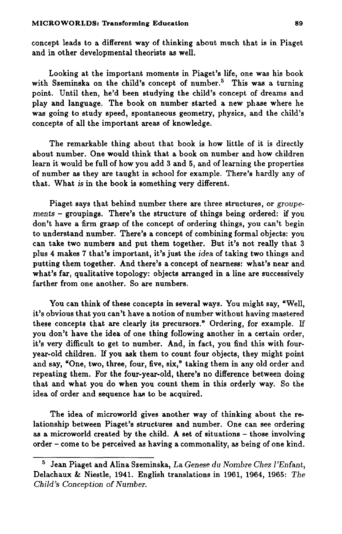concept leads to a different way of thinking about much that is in Piaget and in other developmental theorists as well.

Looking at the important moments in Piaget's life, one was his book with Szeminska on the child's concept of number.<sup>5</sup> This was a turning point. Until then, he'd been studying the child's concept of dreams and play and language. The book on number started a new phase where he was going to study speed, spontaneous geometry, physics, and the child's concepts of all the important areas of knowledge.

The remarkable thing about that book is how little of it is directly about number. One would think that a book on number and how children learn it would be full of how you add 3 and 5, and of learning the properties of number as they are taught in school for example. There's hardly any of that. What *is* in the book is something very different.

Piaget says that behind number there are three structures, or *groupements* - groupings. There's the structure of things being ordered: if you don't have a firm grasp of the concept of ordering things, you can't begin to understand number. There's a concept of combining formal objects: you can take two numbers and put them together. But it's not really that 3 plus 4 makes 7 that's important, it's just the *idea* of taking two things and putting them together. And there's a concept of nearness: what's near and what's far, qualitative topology: objects arranged in a line are successively farther from one another. So are numbers.

You can think of these concepts in several ways. You might say, "Well, it's obvious that you can't have a notion of number without having mastered these concepts that are clearly its precursors." Ordering, for example. If you don't have the idea of one thing following another in a certain order, it's very difficult to get to number. And, in fact, you find this with fouryear-old children. If you ask them to count four objects, they might point and say, "One, two, three, four, five, six," taking them in any old order and repeating them. For the four-year-old, there's no difference between doing that and what you do when you count them in this orderly way. So the idea of order and sequence has to be acquired.

The idea of microworld gives another way of thinking about the relationship between Piaget's structures and number. One can see ordering as a microworld created by the child. A set of situations - those involving order - come to be perceived as having a commonality, as being of one kind.

<sup>5</sup> Jean Piaget and Alina Szeminska, *La Genese du Nombre Chez l'Enfant,*  Delachaux & Niestle, 1941. English translations in 1961, 1964, 1965: *The Child's Conception* of *Number.*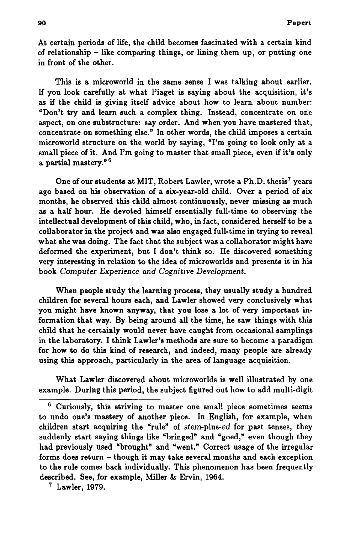At certain periods of life, the child becomes fascinated with a certain kind of relationship - like comparing things, or lining them up, or putting one in front of the other.

This is a microworld in the same sense I was talking about earlier. If you look carefully at what Piaget is saying about the acquisition, it's as if the child is giving itself advice about how to learn about number: "Don't try and learn such a complex thing. Instead, concentrate on one aspect, on one substructure: say order. And when you have mastered that, concentrate on something else." In other words, the child imposes a certain microworld structure on the world by saying, "I'm going to look only at a small piece of it. And I'm going to master that small piece, even if it's only a partial mastery." 6

One of our students at MIT, Robert Lawler, wrote a Ph.D. thesis<sup>7</sup> years ago based on his observation of a six-year-old child. Over a period of six months, he observed this child almost continuously, never missing as much as a half hour. He devoted himself essentially full-time to observing the intellectual development of this child, who, in fact, considered herself to be a collaborator in the project and was also engaged full-time in trying to reveal what she was doing. The fact that the subject was a collaborator might have deformed the experiment, but I don't think so. He discovered something very interesting in relation to the idea of microworlds and presents it in his book *Computer Experience* and *Cognitive Development.* 

When people study the learning process, they usually study a hundred children for several hours each, and Lawler showed very conclusively what you might have known anyway, that you lose a lot of very important information that way. By being around all the time, he saw things with this child that he certainly would never have caught from occasional samplings in the laboratory. I think Lawler's methods are sure to become a paradigm for how to do this kind of research, and indeed, many people are already using this approach, particularly in the area of language acquisition.

What Lawler discovered about microworlds is well illustrated by one example. During this period, the subject figured out how to add multi-digit

<sup>6</sup> Curiously, this striving to master one small piece sometimes seems to undo one's mastery of another piece. In English, for example, when children start acquiring the "rule" of stem-plus-ed for past tenses, they suddenly start saying things like "bringed" and "goed," even though they had previously used "brought" and "went." Correct usage of the irregular forms does return - though it may take several months and each exception to the rule comes back individually. This phenomenon has been frequently described. See, for example, Miller &; Ervin, 1964.

<sup>7</sup> Lawler, 1979.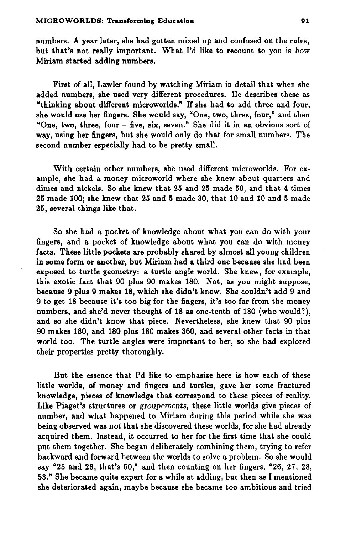numbers. A year later, she had gotten mixed up and confused on the rules, but that's not really important. What I'd like to recount to you is *how*  Miriam started adding numbers.

First of all, Lawler found by watching Miriam in detail that when she added numbers, she used very different procedures. He describes these as "thinking about different microworlds." IT she had to add three and four, she would use her fingers. She would say, "One, two, three, four," and then "One, two, three, four - five, six, seven." She did it in an obvious sort of way, using her fingers, but she would only do that for small numbers. The second number especially had to be pretty small.

With certain other numbers, she used different microworlds. For example, she had a money microworld where she knew about quarters and dimes and nickels. So she knew that 25 and 25 made 50, and that 4 times 25 made 100; she knew that 25 and 5 made 30, that 10 and 10 and 5 made 25, several things like that.

So she had a pocket of knowledge about what you can do with your fingers, and a pocket of knowledge about what you can do with money facts. These little pockets are probably shared by almost all young children in some form or another, but Miriam had a third one because she had been exposed to turtle geometry: a turtle angle world. She knew, for example, this exotic fact that 90 plus 90 makes 180. Not, as you might suppose, because 9 plus 9 makes 18, which she didn't know. She couldn't add 9 and 9 to get 18 because it's too big for the fingers, it's too far from the money numbers, and she'd never thought of 18 as one-tenth of 180 (who would?), and so she didn't know that piece. Nevertheless, she knew that 90 plus 90 makes 180, and 180 plus 180 makes 360, and several other facts in that world too. The turtle angles were important to her, so she had explored their properties pretty thoroughly.

But the essence that I'd like to emphasize here is how each of these little worlds, of money and fingers and turtles, gave her some fractured knowledge, pieces of knowledge that correspond to these pieces of reality. Like Piaget's structures or groupements, these little worlds give pieces of number, and what happened to Miriam during this period while she was being observed was not that she discovered these worlds, for she had already acquired them. Instead, it occurred to her for the first time that she could put them together. She began deliberately combining them, trying to refer backward and forward between the worlds to solve a problem. So she would say "25 and 28, that's 50," and then counting on her fingers, "26, 27, 28, 53." She became quite expert for a while at adding, but then as I mentioned she deteriorated again, maybe because she became too ambitious and tried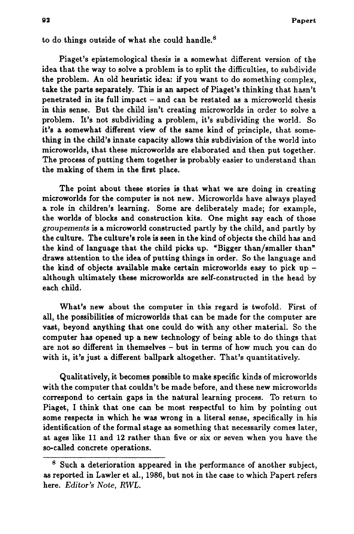to do things outside of what she could handle.<sup>8</sup>

Piaget's epistemological thesis is a somewhat different version of the idea that the way to solve a problem is to split the difficulties, to subdivide the problem. An old heuristic idea: if you want to do something complex, take the parts separately. This is an aspect of Piaget's thinking that hasn't penetrated in its full impact - and can be restated as a microworld thesis in this sense. But the child isn't creating microworlds in order to solve a problem. It's not subdividing a problem, it's subdividing the world. So it's a somewhat different view of the same kind of principle, that something in the child's innate capacity allows this subdivision of the world into microworlds, that these microworlds are elaborated and then put together. The process of putting them together is probably easier to understand than the making of them in the first place.

The point about these stories is that what we are doing in creating microworlds for the computer is not new. Microworlds have always played a role in children's learning. Some are deliberately made; for example, the worlds of blocks and construction kits. One might say each of those *groupements* is a microworld constructed partly by the child, and partly by the culture. The culture's role is seen in the kind of objects the child has and the kind of language that the child picks up. "Bigger than/smaller than" draws attention to the idea of putting things in order. So the language and the kind of objects available make certain microworlds easy to pick up  $$ although ultimately these microworlds are self-constructed in the head by each child.

What's new about the computer in this regard is twofold. First of all, the possibilities of microworlds that can be made for the computer are vast, beyond anything that one could do with any other material. So the computer has opened up a new technology of being able to do things that are not so different in themselves - but in terms of how much you can do with it, it's just a different ballpark altogether. That's quantitatively.

Qualitatively, it becomes possible to make specific kinds of microworlds with the computer that couldn't be made before, and these new microworlds correspond to certain gaps in the natural learning process. To return to Piaget, I think that one can be most respectful to him by pointing out some respects in which he was wrong in a literal sense, specifically in his identification of the formal stage as something that necessarily comes later, at ages like 11 and 12 rather than five or six or seven when you have the so-called concrete operations.

 $8$  Such a deterioration appeared in the performance of another subject, as reported in Lawler et al., 1986, but not in the case to which Papert refers here. *Editor's Note, RWL.*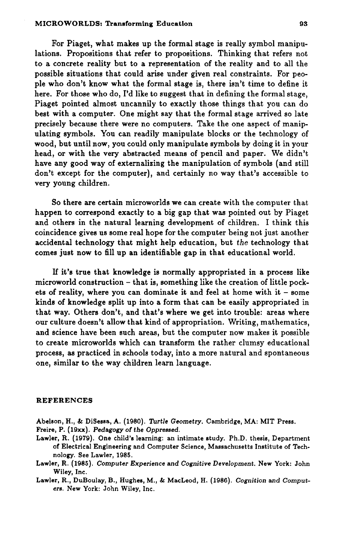#### MICROWORLDS: Transforming Education 93

For Piaget, what makes up the formal stage is really symbol manipulations. Propositions that refer to propositions. Thinking that refers not to a concrete reality but to a representation of the reality and to all the possible situations that could arise under given real constraints. For people who don't know what the formal stage is, there isn't time to define it here. For those who do, I'd like to suggest that in defining the formal stage, Piaget pointed almost uncannily to exactly those things that you can do best with a computer. One might say that the formal stage arrived so late precisely because there were no computers. Take the one aspect of manipulating symbols. You can readily manipulate blocks or the technology of wood, but until now, you could only manipulate symbols by doing it in your head, or with the very abstracted means of pencil and paper. We didn't have any good way of externalizing the manipulation of symbols (and still don't except for the computer), and certainly no way that's accessible to very young children.

So there are certain microworlds we can create with the computer that happen to correspond exactly to a big gap that was pointed out by Piaget and others in the natural learning development of children. I think this coincidence gives us some real hope for the computer being not just another accidental technology that might help education, but *the* technology that comes just now to fill up an identifiable gap in that educational world.

H it's true that knowledge is normally appropriated in a process like microworld construction - that is, something like the creation of little pockets of reality, where you can dominate it and feel at home with it - some kinds of knowledge split up into a form that can be easily appropriated in that way. Others don't, and that's where we get into trouble: areas where our culture doesn't allow that kind of appropriation. Writing, mathematics, and science have been such areas, but the computer now makes it possible to create microworlds which can transform the rather clumsy educational process, as practiced in schools today, into a more natural and spontaneous one, similar to the way children learn language.

#### REFERENCES

- Abelson, H., & DiSessa, A. (1980). *Turtle Geometry.* Cambridge, MA: MIT Press. Freire, P. (19xx). Pedagogy of *the* Oppressed.
- Lawler, R. (1919). One child's learning: an intimate study. Ph.D. thesis, Department of Electrical Engineering and Computer Science, Massachusetts Institute of Technology. See Lawler, 1985.
- Lawler, R. (1985). *Computer Experience* and *Cognitive Development.* New York: John Wiley, Inc.
- Lawler, R., DuBoulay, B., Hughes, M., & MacLeod, H. (1986). *Cognition* and *Computers.* New York: John Wiley, Inc.